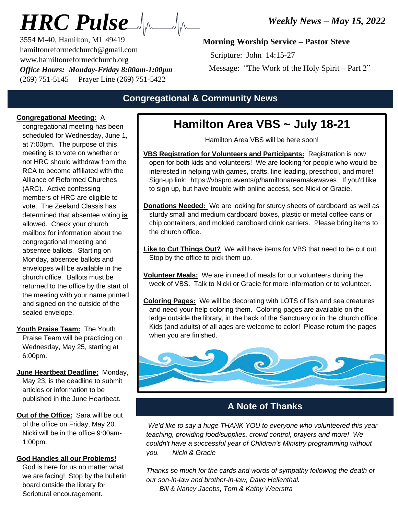# *HRC Pulse*

3554 M-40, Hamilton, MI 49419 hamiltonreformedchurch@gmail.com www.hamiltonreformedchurch.org *Office Hours: Monday-Friday 8:00am-1:00pm* (269) 751-5145 Prayer Line (269) 751-5422

# **Morning Worship Service – Pastor Steve**

Scripture: John 14:15-27

Message: "The Work of the Holy Spirit – Part 2"

# **Congregational & Community News**

### **Congregational Meeting:** A

congregational meeting has been scheduled for Wednesday, June 1, at 7:00pm. The purpose of this meeting is to vote on whether or not HRC should withdraw from the RCA to become affiliated with the Alliance of Reformed Churches (ARC). Active confessing members of HRC are eligible to vote. The Zeeland Classis has determined that absentee voting **is** allowed. Check your church mailbox for information about the congregational meeting and absentee ballots. Starting on Monday, absentee ballots and envelopes will be available in the church office. Ballots must be returned to the office by the start of the meeting with your name printed and signed on the outside of the sealed envelope.

**Youth Praise Team:** The Youth Praise Team will be practicing on Wednesday, May 25, starting at 6:00pm.

**June Heartbeat Deadline:** Monday, May 23, is the deadline to submit articles or information to be published in the June Heartbeat.

**Out of the Office:** Sara will be out of the office on Friday, May 20. Nicki will be in the office 9:00am-1:00pm.

#### **God Handles all our Problems!**

God is here for us no matter what we are facing! Stop by the bulletin board outside the library for Scriptural encouragement.

# 1 **Hamilton Area VBS ~ July 18-21**

Hamilton Area VBS will be here soon!

- **VBS Registration for Volunteers and Participants:** Registration is now open for both kids and volunteers! We are looking for people who would be interested in helping with games, crafts. line leading, preschool, and more! Sign-up link: https://vbspro.events/p/hamiltonareamakewaves If you'd like to sign up, but have trouble with online access, see Nicki or Gracie.
- **Donations Needed:** We are looking for sturdy sheets of cardboard as well as sturdy small and medium cardboard boxes, plastic or metal coffee cans or chip containers, and molded cardboard drink carriers. Please bring items to the church office.
- **Like to Cut Things Out?** We will have items for VBS that need to be cut out. Stop by the office to pick them up.
- **Volunteer Meals:** We are in need of meals for our volunteers during the week of VBS. Talk to Nicki or Gracie for more information or to volunteer.
- **Coloring Pages:** We will be decorating with LOTS of fish and sea creatures and need your help coloring them. Coloring pages are available on the ledge outside the library, in the back of the Sanctuary or in the church office. Kids (and adults) of all ages are welcome to color! Please return the pages when you are finished.



# **A Note of Thanks**

*We'd like to say a huge THANK YOU to everyone who volunteered this year teaching, providing food/supplies, crowd control, prayers and more! We couldn't have a successful year of Children's Ministry programming without you. Nicki & Gracie*

*Thanks so much for the cards and words of sympathy following the death of our son-in-law and brother-in-law, Dave Hellenthal.*

 *Bill & Nancy Jacobs, Tom & Kathy Weerstra*